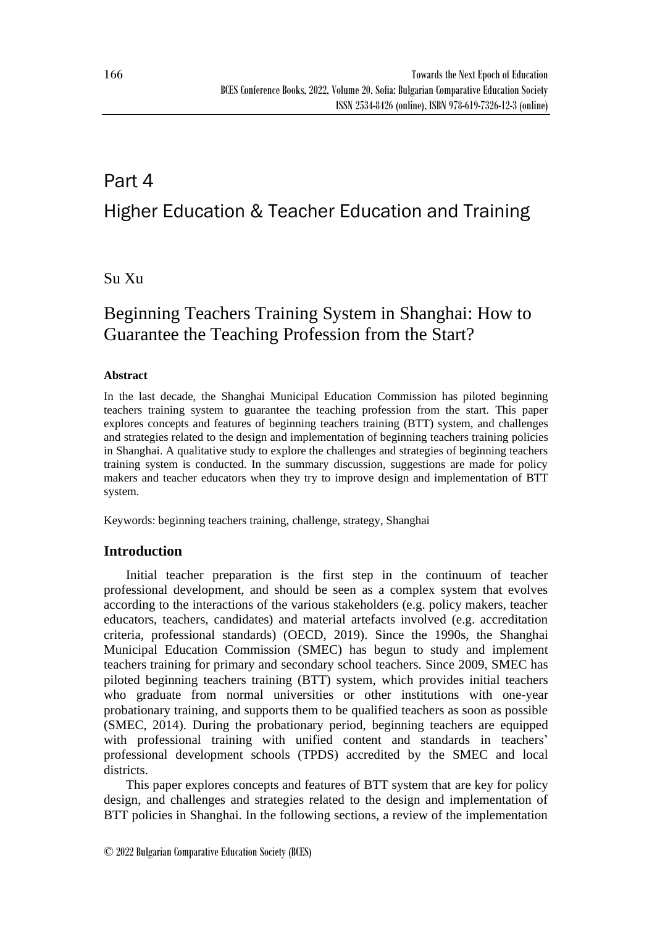# Part 4 Higher Education & Teacher Education and Training

## Su Xu

## Beginning Teachers Training System in Shanghai: How to Guarantee the Teaching Profession from the Start?

### **Abstract**

In the last decade, the Shanghai Municipal Education Commission has piloted beginning teachers training system to guarantee the teaching profession from the start. This paper explores concepts and features of beginning teachers training (BTT) system, and challenges and strategies related to the design and implementation of beginning teachers training policies in Shanghai. A qualitative study to explore the challenges and strategies of beginning teachers training system is conducted. In the summary discussion, suggestions are made for policy makers and teacher educators when they try to improve design and implementation of BTT system.

Keywords: beginning teachers training, challenge, strategy, Shanghai

## **Introduction**

Initial teacher preparation is the first step in the continuum of teacher professional development, and should be seen as a complex system that evolves according to the interactions of the various stakeholders (e.g. policy makers, teacher educators, teachers, candidates) and material artefacts involved (e.g. accreditation criteria, professional standards) (OECD, 2019). Since the 1990s, the Shanghai Municipal Education Commission (SMEC) has begun to study and implement teachers training for primary and secondary school teachers. Since 2009, SMEC has piloted beginning teachers training (BTT) system, which provides initial teachers who graduate from normal universities or other institutions with one-year probationary training, and supports them to be qualified teachers as soon as possible (SMEC, 2014). During the probationary period, beginning teachers are equipped with professional training with unified content and standards in teachers' professional development schools (TPDS) accredited by the SMEC and local districts.

This paper explores concepts and features of BTT system that are key for policy design, and challenges and strategies related to the design and implementation of BTT policies in Shanghai. In the following sections, a review of the implementation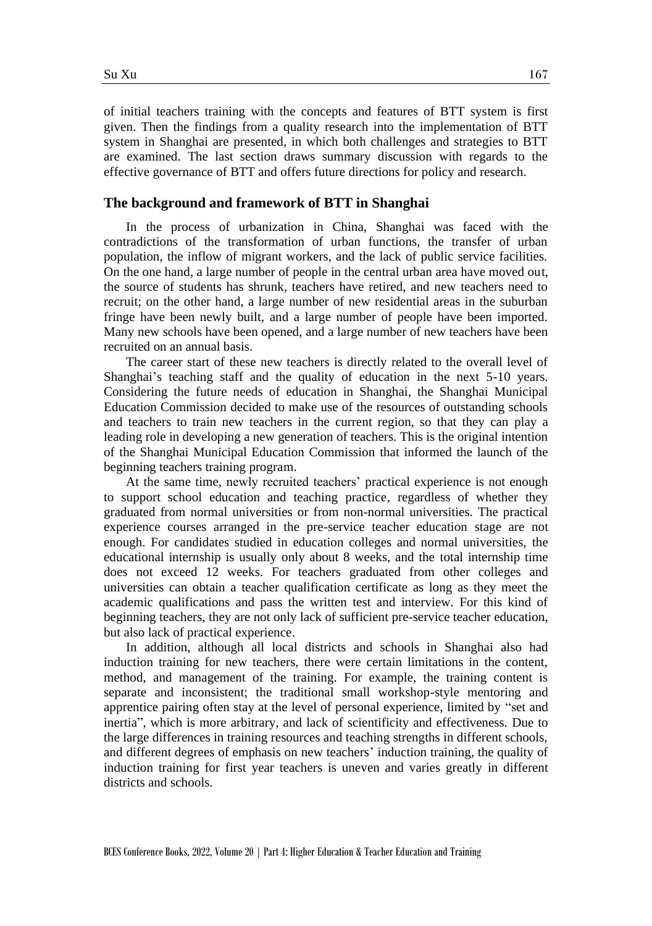of initial teachers training with the concepts and features of BTT system is first given. Then the findings from a quality research into the implementation of BTT system in Shanghai are presented, in which both challenges and strategies to BTT are examined. The last section draws summary discussion with regards to the effective governance of BTT and offers future directions for policy and research.

#### **The background and framework of BTT in Shanghai**

In the process of urbanization in China, Shanghai was faced with the contradictions of the transformation of urban functions, the transfer of urban population, the inflow of migrant workers, and the lack of public service facilities. On the one hand, a large number of people in the central urban area have moved out, the source of students has shrunk, teachers have retired, and new teachers need to recruit; on the other hand, a large number of new residential areas in the suburban fringe have been newly built, and a large number of people have been imported. Many new schools have been opened, and a large number of new teachers have been recruited on an annual basis.

The career start of these new teachers is directly related to the overall level of Shanghai's teaching staff and the quality of education in the next 5-10 years. Considering the future needs of education in Shanghai, the Shanghai Municipal Education Commission decided to make use of the resources of outstanding schools and teachers to train new teachers in the current region, so that they can play a leading role in developing a new generation of teachers. This is the original intention of the Shanghai Municipal Education Commission that informed the launch of the beginning teachers training program.

At the same time, newly recruited teachers' practical experience is not enough to support school education and teaching practice, regardless of whether they graduated from normal universities or from non-normal universities. The practical experience courses arranged in the pre-service teacher education stage are not enough. For candidates studied in education colleges and normal universities, the educational internship is usually only about 8 weeks, and the total internship time does not exceed 12 weeks. For teachers graduated from other colleges and universities can obtain a teacher qualification certificate as long as they meet the academic qualifications and pass the written test and interview. For this kind of beginning teachers, they are not only lack of sufficient pre-service teacher education, but also lack of practical experience.

In addition, although all local districts and schools in Shanghai also had induction training for new teachers, there were certain limitations in the content, method, and management of the training. For example, the training content is separate and inconsistent; the traditional small workshop-style mentoring and apprentice pairing often stay at the level of personal experience, limited by "set and inertia", which is more arbitrary, and lack of scientificity and effectiveness. Due to the large differences in training resources and teaching strengths in different schools, and different degrees of emphasis on new teachers' induction training, the quality of induction training for first year teachers is uneven and varies greatly in different districts and schools.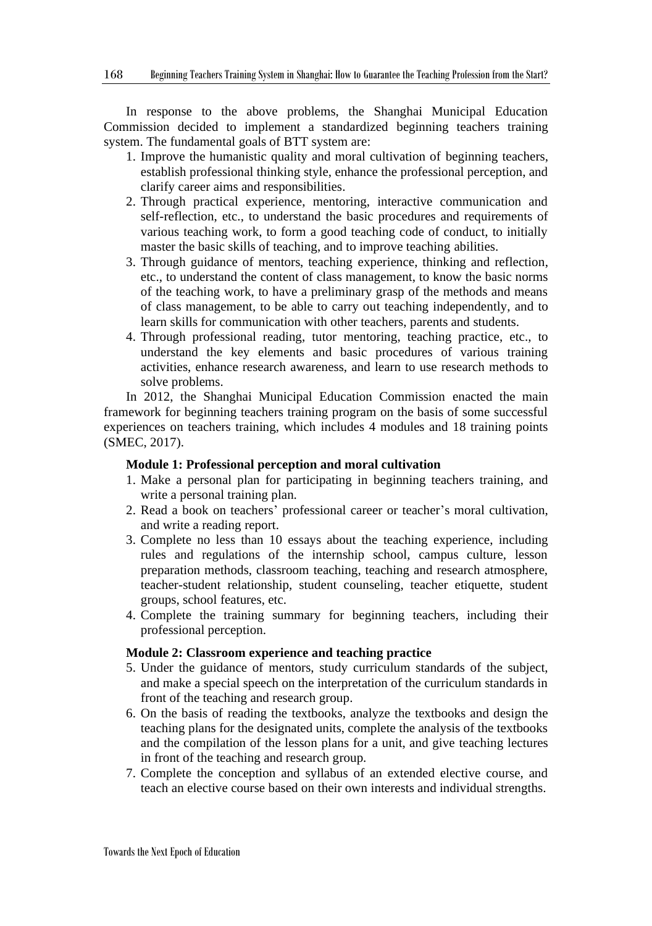In response to the above problems, the Shanghai Municipal Education Commission decided to implement a standardized beginning teachers training system. The fundamental goals of BTT system are:

- 1. Improve the humanistic quality and moral cultivation of beginning teachers, establish professional thinking style, enhance the professional perception, and clarify career aims and responsibilities.
- 2. Through practical experience, mentoring, interactive communication and self-reflection, etc., to understand the basic procedures and requirements of various teaching work, to form a good teaching code of conduct, to initially master the basic skills of teaching, and to improve teaching abilities.
- 3. Through guidance of mentors, teaching experience, thinking and reflection, etc., to understand the content of class management, to know the basic norms of the teaching work, to have a preliminary grasp of the methods and means of class management, to be able to carry out teaching independently, and to learn skills for communication with other teachers, parents and students.
- 4. Through professional reading, tutor mentoring, teaching practice, etc., to understand the key elements and basic procedures of various training activities, enhance research awareness, and learn to use research methods to solve problems.

In 2012, the Shanghai Municipal Education Commission enacted the main framework for beginning teachers training program on the basis of some successful experiences on teachers training, which includes 4 modules and 18 training points (SMEC, 2017).

#### **Module 1: Professional perception and moral cultivation**

- 1. Make a personal plan for participating in beginning teachers training, and write a personal training plan.
- 2. Read a book on teachers' professional career or teacher's moral cultivation, and write a reading report.
- 3. Complete no less than 10 essays about the teaching experience, including rules and regulations of the internship school, campus culture, lesson preparation methods, classroom teaching, teaching and research atmosphere, teacher-student relationship, student counseling, teacher etiquette, student groups, school features, etc.
- 4. Complete the training summary for beginning teachers, including their professional perception.

#### **Module 2: Classroom experience and teaching practice**

- 5. Under the guidance of mentors, study curriculum standards of the subject, and make a special speech on the interpretation of the curriculum standards in front of the teaching and research group.
- 6. On the basis of reading the textbooks, analyze the textbooks and design the teaching plans for the designated units, complete the analysis of the textbooks and the compilation of the lesson plans for a unit, and give teaching lectures in front of the teaching and research group.
- 7. Complete the conception and syllabus of an extended elective course, and teach an elective course based on their own interests and individual strengths.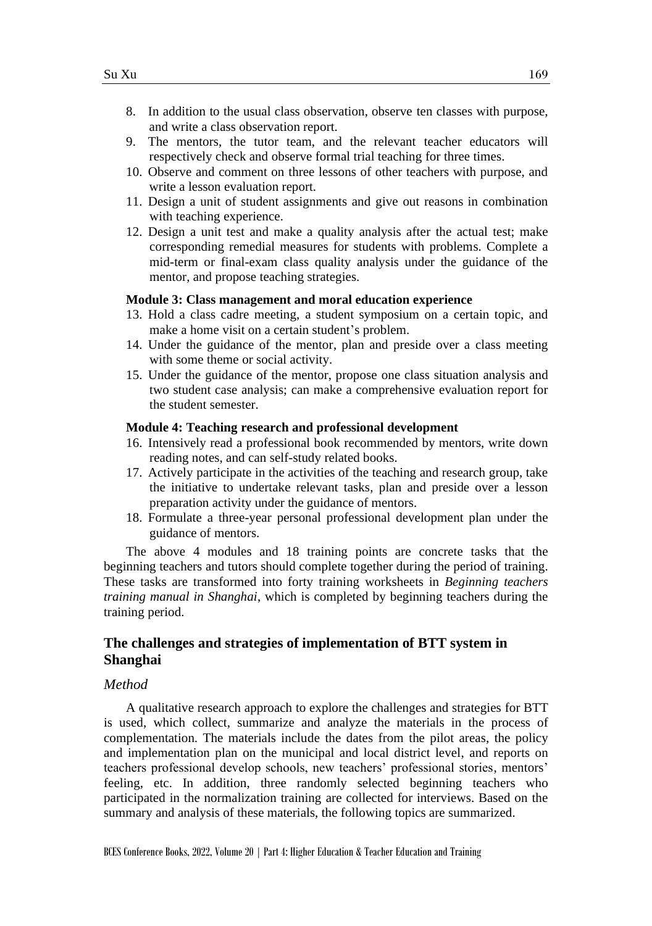- 8. In addition to the usual class observation, observe ten classes with purpose, and write a class observation report.
- 9. The mentors, the tutor team, and the relevant teacher educators will respectively check and observe formal trial teaching for three times.
- 10. Observe and comment on three lessons of other teachers with purpose, and write a lesson evaluation report.
- 11. Design a unit of student assignments and give out reasons in combination with teaching experience.
- 12. Design a unit test and make a quality analysis after the actual test; make corresponding remedial measures for students with problems. Complete a mid-term or final-exam class quality analysis under the guidance of the mentor, and propose teaching strategies.

#### **Module 3: Class management and moral education experience**

- 13. Hold a class cadre meeting, a student symposium on a certain topic, and make a home visit on a certain student's problem.
- 14. Under the guidance of the mentor, plan and preside over a class meeting with some theme or social activity.
- 15. Under the guidance of the mentor, propose one class situation analysis and two student case analysis; can make a comprehensive evaluation report for the student semester.

#### **Module 4: Teaching research and professional development**

- 16. Intensively read a professional book recommended by mentors, write down reading notes, and can self-study related books.
- 17. Actively participate in the activities of the teaching and research group, take the initiative to undertake relevant tasks, plan and preside over a lesson preparation activity under the guidance of mentors.
- 18. Formulate a three-year personal professional development plan under the guidance of mentors.

The above 4 modules and 18 training points are concrete tasks that the beginning teachers and tutors should complete together during the period of training. These tasks are transformed into forty training worksheets in *Beginning teachers training manual in Shanghai*, which is completed by beginning teachers during the training period.

## **The challenges and strategies of implementation of BTT system in Shanghai**

#### *Method*

A qualitative research approach to explore the challenges and strategies for BTT is used, which collect, summarize and analyze the materials in the process of complementation. The materials include the dates from the pilot areas, the policy and implementation plan on the municipal and local district level, and reports on teachers professional develop schools, new teachers' professional stories, mentors' feeling, etc. In addition, three randomly selected beginning teachers who participated in the normalization training are collected for interviews. Based on the summary and analysis of these materials, the following topics are summarized.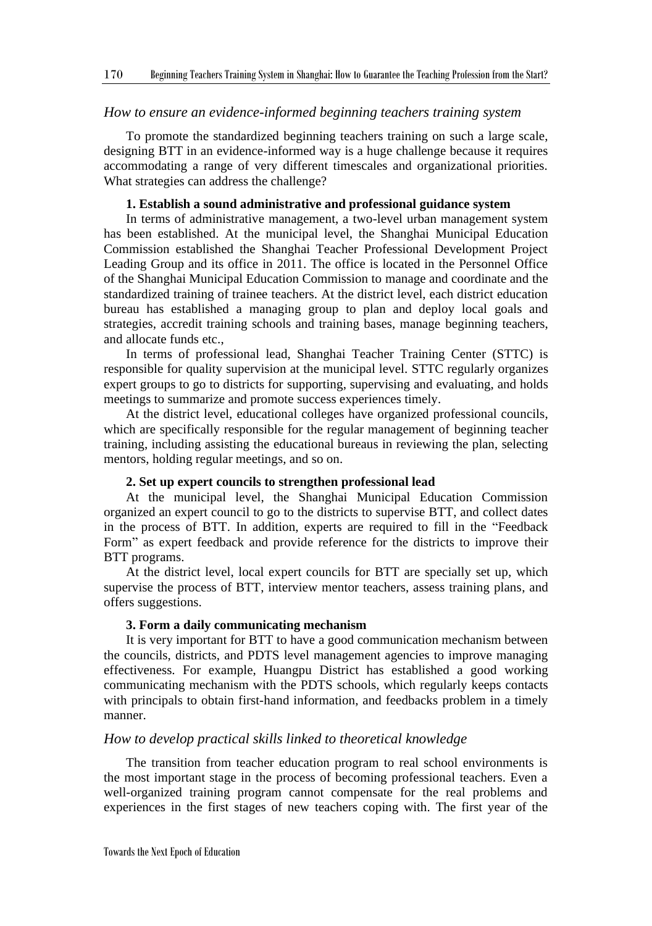#### *How to ensure an evidence-informed beginning teachers training system*

To promote the standardized beginning teachers training on such a large scale, designing BTT in an evidence-informed way is a huge challenge because it requires accommodating a range of very different timescales and organizational priorities. What strategies can address the challenge?

#### **1. Establish a sound administrative and professional guidance system**

In terms of administrative management, a two-level urban management system has been established. At the municipal level, the Shanghai Municipal Education Commission established the Shanghai Teacher Professional Development Project Leading Group and its office in 2011. The office is located in the Personnel Office of the Shanghai Municipal Education Commission to manage and coordinate and the standardized training of trainee teachers. At the district level, each district education bureau has established a managing group to plan and deploy local goals and strategies, accredit training schools and training bases, manage beginning teachers, and allocate funds etc.,

In terms of professional lead, Shanghai Teacher Training Center (STTC) is responsible for quality supervision at the municipal level. STTC regularly organizes expert groups to go to districts for supporting, supervising and evaluating, and holds meetings to summarize and promote success experiences timely.

At the district level, educational colleges have organized professional councils, which are specifically responsible for the regular management of beginning teacher training, including assisting the educational bureaus in reviewing the plan, selecting mentors, holding regular meetings, and so on.

#### **2. Set up expert councils to strengthen professional lead**

At the municipal level, the Shanghai Municipal Education Commission organized an expert council to go to the districts to supervise BTT, and collect dates in the process of BTT. In addition, experts are required to fill in the "Feedback Form" as expert feedback and provide reference for the districts to improve their BTT programs.

At the district level, local expert councils for BTT are specially set up, which supervise the process of BTT, interview mentor teachers, assess training plans, and offers suggestions.

#### **3. Form a daily communicating mechanism**

It is very important for BTT to have a good communication mechanism between the councils, districts, and PDTS level management agencies to improve managing effectiveness. For example, Huangpu District has established a good working communicating mechanism with the PDTS schools, which regularly keeps contacts with principals to obtain first-hand information, and feedbacks problem in a timely manner.

#### *How to develop practical skills linked to theoretical knowledge*

The transition from teacher education program to real school environments is the most important stage in the process of becoming professional teachers. Even a well-organized training program cannot compensate for the real problems and experiences in the first stages of new teachers coping with. The first year of the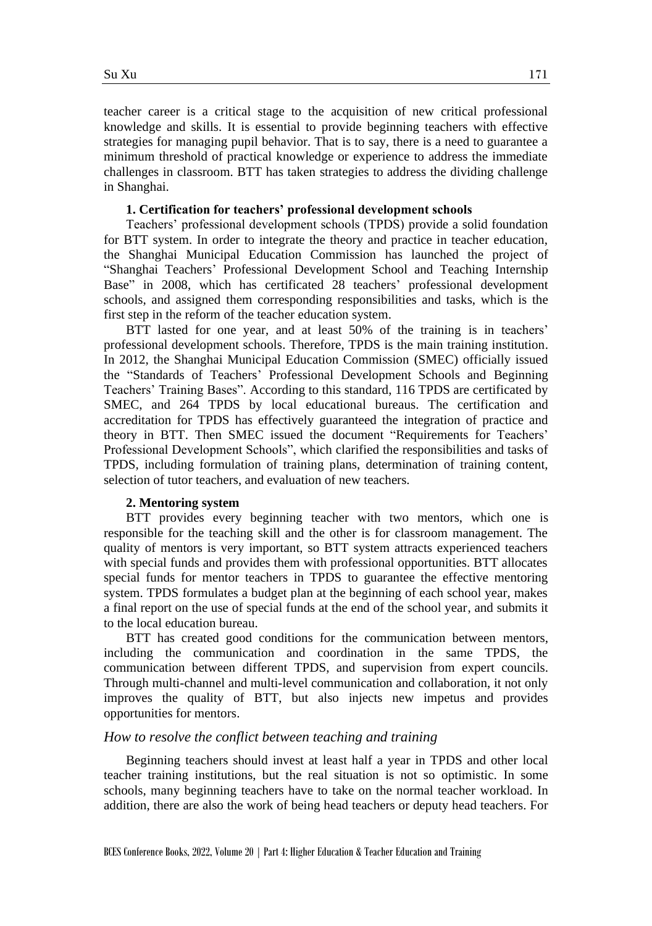teacher career is a critical stage to the acquisition of new critical professional knowledge and skills. It is essential to provide beginning teachers with effective strategies for managing pupil behavior. That is to say, there is a need to guarantee a minimum threshold of practical knowledge or experience to address the immediate challenges in classroom. BTT has taken strategies to address the dividing challenge in Shanghai.

#### **1. Certification for teachers' professional development schools**

Teachers' professional development schools (TPDS) provide a solid foundation for BTT system. In order to integrate the theory and practice in teacher education, the Shanghai Municipal Education Commission has launched the project of "Shanghai Teachers' Professional Development School and Teaching Internship Base" in 2008, which has certificated 28 teachers' professional development schools, and assigned them corresponding responsibilities and tasks, which is the first step in the reform of the teacher education system.

BTT lasted for one year, and at least 50% of the training is in teachers' professional development schools. Therefore, TPDS is the main training institution. In 2012, the Shanghai Municipal Education Commission (SMEC) officially issued the "Standards of Teachers' Professional Development Schools and Beginning Teachers' Training Bases". According to this standard, 116 TPDS are certificated by SMEC, and 264 TPDS by local educational bureaus. The certification and accreditation for TPDS has effectively guaranteed the integration of practice and theory in BTT. Then SMEC issued the document "Requirements for Teachers' Professional Development Schools", which clarified the responsibilities and tasks of TPDS, including formulation of training plans, determination of training content, selection of tutor teachers, and evaluation of new teachers.

#### **2. Mentoring system**

BTT provides every beginning teacher with two mentors, which one is responsible for the teaching skill and the other is for classroom management. The quality of mentors is very important, so BTT system attracts experienced teachers with special funds and provides them with professional opportunities. BTT allocates special funds for mentor teachers in TPDS to guarantee the effective mentoring system. TPDS formulates a budget plan at the beginning of each school year, makes a final report on the use of special funds at the end of the school year, and submits it to the local education bureau.

BTT has created good conditions for the communication between mentors, including the communication and coordination in the same TPDS, the communication between different TPDS, and supervision from expert councils. Through multi-channel and multi-level communication and collaboration, it not only improves the quality of BTT, but also injects new impetus and provides opportunities for mentors.

#### *How to resolve the conflict between teaching and training*

Beginning teachers should invest at least half a year in TPDS and other local teacher training institutions, but the real situation is not so optimistic. In some schools, many beginning teachers have to take on the normal teacher workload. In addition, there are also the work of being head teachers or deputy head teachers. For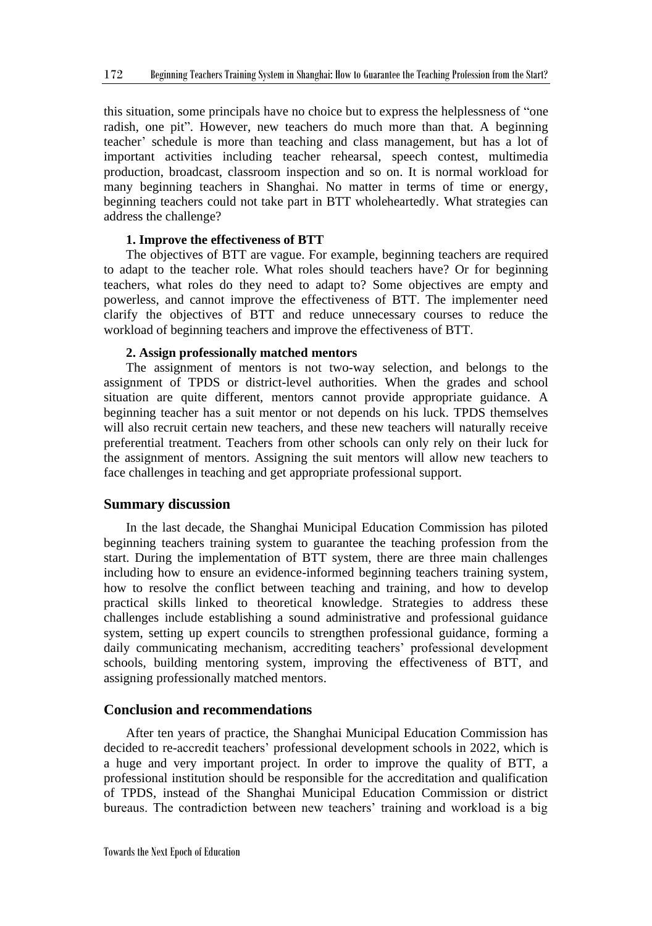this situation, some principals have no choice but to express the helplessness of "one radish, one pit". However, new teachers do much more than that. A beginning teacher' schedule is more than teaching and class management, but has a lot of important activities including teacher rehearsal, speech contest, multimedia production, broadcast, classroom inspection and so on. It is normal workload for many beginning teachers in Shanghai. No matter in terms of time or energy, beginning teachers could not take part in BTT wholeheartedly. What strategies can address the challenge?

#### **1. Improve the effectiveness of BTT**

The objectives of BTT are vague. For example, beginning teachers are required to adapt to the teacher role. What roles should teachers have? Or for beginning teachers, what roles do they need to adapt to? Some objectives are empty and powerless, and cannot improve the effectiveness of BTT. The implementer need clarify the objectives of BTT and reduce unnecessary courses to reduce the workload of beginning teachers and improve the effectiveness of BTT.

#### **2. Assign professionally matched mentors**

The assignment of mentors is not two-way selection, and belongs to the assignment of TPDS or district-level authorities. When the grades and school situation are quite different, mentors cannot provide appropriate guidance. A beginning teacher has a suit mentor or not depends on his luck. TPDS themselves will also recruit certain new teachers, and these new teachers will naturally receive preferential treatment. Teachers from other schools can only rely on their luck for the assignment of mentors. Assigning the suit mentors will allow new teachers to face challenges in teaching and get appropriate professional support.

#### **Summary discussion**

In the last decade, the Shanghai Municipal Education Commission has piloted beginning teachers training system to guarantee the teaching profession from the start. During the implementation of BTT system, there are three main challenges including how to ensure an evidence-informed beginning teachers training system, how to resolve the conflict between teaching and training, and how to develop practical skills linked to theoretical knowledge. Strategies to address these challenges include establishing a sound administrative and professional guidance system, setting up expert councils to strengthen professional guidance, forming a daily communicating mechanism, accrediting teachers' professional development schools, building mentoring system, improving the effectiveness of BTT, and assigning professionally matched mentors.

#### **Conclusion and recommendations**

After ten years of practice, the Shanghai Municipal Education Commission has decided to re-accredit teachers' professional development schools in 2022, which is a huge and very important project. In order to improve the quality of BTT, a professional institution should be responsible for the accreditation and qualification of TPDS, instead of the Shanghai Municipal Education Commission or district bureaus. The contradiction between new teachers' training and workload is a big